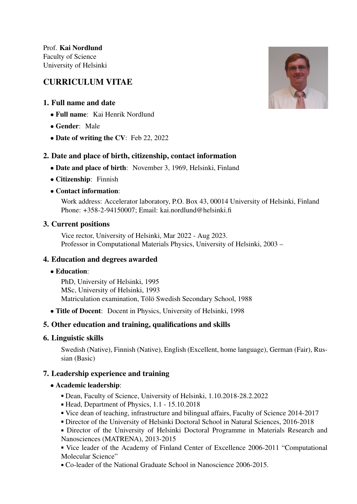# CURRICULUM VITAE

# 1. Full name and date

- Full name: Kai Henrik Nordlund
- Gender: Male
- Date of writing the CV: Feb 22, 2022

# 2. Date and place of birth, citizenship, contact information

- Date and place of birth: November 3, 1969, Helsinki, Finland
- Citizenship: Finnish
- Contact information:

Work address: Accelerator laboratory, P.O. Box 43, 00014 University of Helsinki, Finland Phone: +358-2-94150007; Email: kai.nordlund@helsinki.fi

# 3. Current positions

Vice rector, University of Helsinki, Mar 2022 - Aug 2023. Professor in Computational Materials Physics, University of Helsinki, 2003 –

### 4. Education and degrees awarded

• Education:

PhD, University of Helsinki, 1995 MSc, University of Helsinki, 1993 Matriculation examination, Tölö Swedish Secondary School, 1988

• Title of Docent: Docent in Physics, University of Helsinki, 1998

### 5. Other education and training, qualifications and skills

### 6. Linguistic skills

Swedish (Native), Finnish (Native), English (Excellent, home language), German (Fair), Russian (Basic)

### 7. Leadership experience and training

### • Academic leadership:

- Dean, Faculty of Science, University of Helsinki, 1.10.2018-28.2.2022
- Head, Department of Physics, 1.1 15.10.2018
- Vice dean of teaching, infrastructure and bilingual affairs, Faculty of Science 2014-2017
- Director of the University of Helsinki Doctoral School in Natural Sciences, 2016-2018
- Director of the University of Helsinki Doctoral Programme in Materials Research and Nanosciences (MATRENA), 2013-2015
- Vice leader of the Academy of Finland Center of Excellence 2006-2011 "Computational Molecular Science"
- Co-leader of the National Graduate School in Nanoscience 2006-2015.

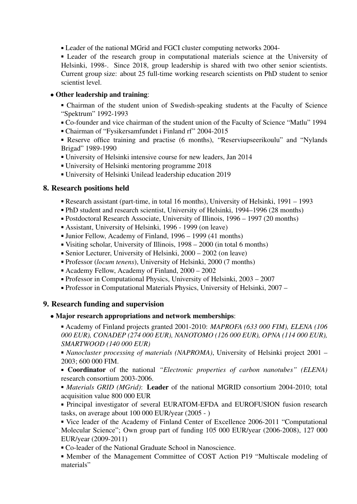Leader of the national MGrid and FGCI cluster computing networks 2004-

 Leader of the research group in computational materials science at the University of Helsinki, 1998-. Since 2018, group leadership is shared with two other senior scientists. Current group size: about 25 full-time working research scientists on PhD student to senior scientist level.

### • Other leadership and training:

- Chairman of the student union of Swedish-speaking students at the Faculty of Science "Spektrum" 1992-1993
- Co-founder and vice chairman of the student union of the Faculty of Science "Matlu" 1994
- Chairman of "Fysikersamfundet i Finland rf" 2004-2015

 Reserve office training and practise (6 months), "Reserviupseerikoulu" and "Nylands Brigad" 1989-1990

- University of Helsinki intensive course for new leaders, Jan 2014
- University of Helsinki mentoring programme 2018
- University of Helsinki Unilead leadership education 2019

# 8. Research positions held

- Research assistant (part-time, in total 16 months), University of Helsinki, 1991 1993
- PhD student and research scientist, University of Helsinki, 1994–1996 (28 months)
- Postdoctoral Research Associate, University of Illinois, 1996 1997 (20 months)
- Assistant, University of Helsinki, 1996 1999 (on leave)
- Junior Fellow, Academy of Finland, 1996 1999 (41 months)
- Visiting scholar, University of Illinois, 1998 2000 (in total 6 months)
- Senior Lecturer, University of Helsinki, 2000 2002 (on leave)
- Professor (*locum tenens*), University of Helsinki, 2000 (7 months)
- Academy Fellow, Academy of Finland, 2000 2002
- Professor in Computational Physics, University of Helsinki, 2003 2007
- Professor in Computational Materials Physics, University of Helsinki, 2007 –

### 9. Research funding and supervision

### • Major research appropriations and network memberships:

 Academy of Finland projects granted 2001-2010: *MAPROFA (633 000 FIM), ELENA (106 000 EUR), CONADEP (274 000 EUR), NANOTOMO (126 000 EUR), OPNA (114 000 EUR), SMARTWOOD (140 000 EUR)*

 *Nanocluster processing of materials (NAPROMA)*, University of Helsinki project 2001 – 2003; 600 000 FIM.

 Coordinator of the national *"Electronic properties of carbon nanotubes" (ELENA)* research consortium 2003-2006.

 *Materials GRID (MGrid)*: Leader of the national MGRID consortium 2004-2010; total acquisition value 800 000 EUR

 Principal investigator of several EURATOM-EFDA and EUROFUSION fusion research tasks, on average about 100 000 EUR/year (2005 - )

 Vice leader of the Academy of Finland Center of Excellence 2006-2011 "Computational Molecular Science"; Own group part of funding 105 000 EUR/year (2006-2008), 127 000 EUR/year (2009-2011)

Co-leader of the National Graduate School in Nanoscience.

 Member of the Management Committee of COST Action P19 "Multiscale modeling of materials"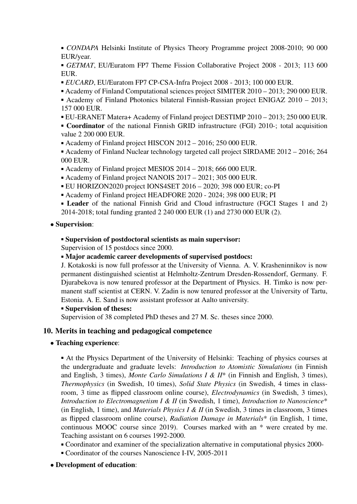*CONDAPA* Helsinki Institute of Physics Theory Programme project 2008-2010; 90 000 EUR/year.

 *GETMAT*, EU/Euratom FP7 Theme Fission Collaborative Project 2008 - 2013; 113 600 EUR.

- *EUCARD*, EU/Euratom FP7 CP-CSA-Infra Project 2008 2013; 100 000 EUR.
- Academy of Finland Computational sciences project SIMITER 2010 2013; 290 000 EUR.
- Academy of Finland Photonics bilateral Finnish-Russian project ENIGAZ 2010 2013; 157 000 EUR.
- EU-ERANET Matera+ Academy of Finland project DESTIMP 2010 2013; 250 000 EUR.

**Coordinator** of the national Finnish GRID infrastructure (FGI) 2010-; total acquisition value 2 200 000 EUR.

Academy of Finland project HISCON 2012 – 2016; 250 000 EUR.

• Academy of Finland Nuclear technology targeted call project SIRDAME 2012 – 2016; 264 000 EUR.

- Academy of Finland project MESIOS 2014 2018; 666 000 EUR.
- Academy of Finland project NANOIS 2017 2021; 305 000 EUR.
- EU HORIZON2020 project IONS4SET 2016 2020; 398 000 EUR; co-PI
- Academy of Finland project HEADFORE 2020 2024; 398 000 EUR; PI

**Leader** of the national Finnish Grid and Cloud infrastructure (FGCI Stages 1 and 2) 2014-2018; total funding granted 2 240 000 EUR (1) and 2730 000 EUR (2).

#### • Supervision:

#### Supervision of postdoctoral scientists as main supervisor:

Supervision of 15 postdocs since 2000.

Major academic career developments of supervised postdocs:

J. Kotakoski is now full professor at the University of Vienna. A. V. Krasheninnikov is now permanent distinguished scientist at Helmholtz-Zentrum Dresden-Rossendorf, Germany. F. Djurabekova is now tenured professor at the Department of Physics. H. Timko is now permanent staff scientist at CERN. V. Zadin is now tenured professor at the University of Tartu, Estonia. A. E. Sand is now assistant professor at Aalto university.

#### Supervision of theses:

Supervision of 38 completed PhD theses and 27 M. Sc. theses since 2000.

#### 10. Merits in teaching and pedagogical competence

#### • Teaching experience:

 At the Physics Department of the University of Helsinki: Teaching of physics courses at the undergraduate and graduate levels: *Introduction to Atomistic Simulations* (in Finnish and English, 3 times), *Monte Carlo Simulations I & II*\* (in Finnish and English, 3 times), *Thermophysics* (in Swedish, 10 times), *Solid State Physics* (in Swedish, 4 times in classroom, 3 time as flipped classroom online course), *Electrodynamics* (in Swedish, 3 times), *Introduction to Electromagnetism I & II* (in Swedish, 1 time), *Introduction to Nanoscience*\* (in English, 1 time), and *Materials Physics I & II* (in Swedish, 3 times in classroom, 3 times as flipped classroom online course), *Radiation Damage in Materials*\* (in English, 1 time, continuous MOOC course since 2019). Courses marked with an \* were created by me. Teaching assistant on 6 courses 1992-2000.

- Coordinator and examiner of the specialization alternative in computational physics 2000-
- Coordinator of the courses Nanoscience I-IV, 2005-2011
- Development of education: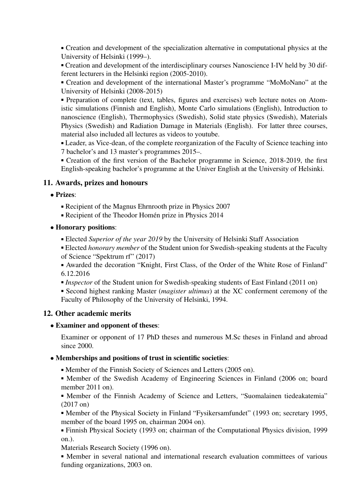Creation and development of the specialization alternative in computational physics at the University of Helsinki (1999–).

 Creation and development of the interdisciplinary courses Nanoscience I-IV held by 30 different lecturers in the Helsinki region (2005-2010).

 Creation and development of the international Master's programme "MoMoNano" at the University of Helsinki (2008-2015)

 Preparation of complete (text, tables, figures and exercises) web lecture notes on Atomistic simulations (Finnish and English), Monte Carlo simulations (English), Introduction to nanoscience (English), Thermophysics (Swedish), Solid state physics (Swedish), Materials Physics (Swedish) and Radiation Damage in Materials (English). For latter three courses, material also included all lectures as videos to youtube.

 Leader, as Vice-dean, of the complete reorganization of the Faculty of Science teaching into 7 bachelor's and 13 master's programmes 2015–.

 Creation of the first version of the Bachelor programme in Science, 2018-2019, the first English-speaking bachelor's programme at the Univer English at the University of Helsinki.

# 11. Awards, prizes and honours

- Prizes:
	- Recipient of the Magnus Ehrnrooth prize in Physics 2007
	- Recipient of the Theodor Homén prize in Physics 2014
- Honorary positions:
	- Elected *Superior of the year 2019* by the University of Helsinki Staff Association

 Elected *honorary member* of the Student union for Swedish-speaking students at the Faculty of Science "Spektrum rf" (2017)

 Awarded the decoration "Knight, First Class, of the Order of the White Rose of Finland" 6.12.2016

- *Inspector* of the Student union for Swedish-speaking students of East Finland (2011 on)
- Second highest ranking Master (*magister ultimus*) at the XC conferment ceremony of the Faculty of Philosophy of the University of Helsinki, 1994.

# 12. Other academic merits

### • Examiner and opponent of theses:

Examiner or opponent of 17 PhD theses and numerous M.Sc theses in Finland and abroad since 2000.

### • Memberships and positions of trust in scientific societies:

Member of the Finnish Society of Sciences and Letters (2005 on).

 Member of the Swedish Academy of Engineering Sciences in Finland (2006 on; board member 2011 on).

 Member of the Finnish Academy of Science and Letters, "Suomalainen tiedeakatemia" (2017 on)

 Member of the Physical Society in Finland "Fysikersamfundet" (1993 on; secretary 1995, member of the board 1995 on, chairman 2004 on).

 Finnish Physical Society (1993 on; chairman of the Computational Physics division, 1999 on.).

Materials Research Society (1996 on).

 Member in several national and international research evaluation committees of various funding organizations, 2003 on.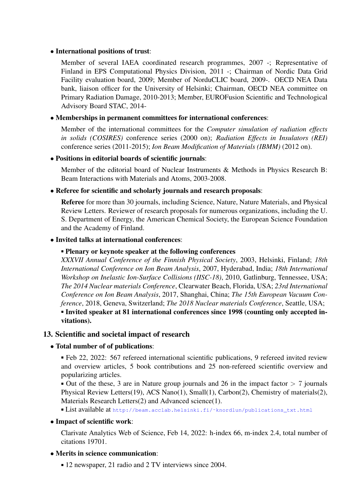#### • International positions of trust:

Member of several IAEA coordinated research programmes, 2007 -; Representative of Finland in EPS Computational Physics Division, 2011 -; Chairman of Nordic Data Grid Facility evaluation board, 2009; Member of NorduCLIC board, 2009-. OECD NEA Data bank, liaison officer for the University of Helsinki; Chairman, OECD NEA committee on Primary Radiation Damage, 2010-2013; Member, EUROFusion Scientific and Technological Advisory Board STAC, 2014-

#### • Memberships in permanent committees for international conferences:

Member of the international committees for the *Computer simulation of radiation effects in solids (COSIRES)* conference series (2000 on); *Radiation Effects in Insulators (REI)* conference series (2011-2015); *Ion Beam Modification of Materials (IBMM)* (2012 on).

### • Positions in editorial boards of scientific journals:

Member of the editorial board of Nuclear Instruments & Methods in Physics Research B: Beam Interactions with Materials and Atoms, 2003-2008.

### • Referee for scientific and scholarly journals and research proposals:

Referee for more than 30 journals, including Science, Nature, Nature Materials, and Physical Review Letters. Reviewer of research proposals for numerous organizations, including the U. S. Department of Energy, the American Chemical Society, the European Science Foundation and the Academy of Finland.

### • Invited talks at international conferences:

#### Plenary or keynote speaker at the following conferences

*XXXVII Annual Conference of the Finnish Physical Society*, 2003, Helsinki, Finland; *18th International Conference on Ion Beam Analysis*, 2007, Hyderabad, India; *18th International Workshop on Inelastic Ion-Surface Collisions (IISC-18)*, 2010, Gatlinburg, Tennessee, USA; *The 2014 Nuclear materials Conference*, Clearwater Beach, Florida, USA; *23rd International Conference on Ion Beam Analysis*, 2017, Shanghai, China; *The 15th European Vacuum Conference*, 2018, Geneva, Switzerland; *The 2018 Nuclear materials Conference*, Seattle, USA; Invited speaker at 81 international conferences since 1998 (counting only accepted invitations).

#### 13. Scientific and societal impact of research

#### • Total number of of publications:

 Feb 22, 2022: 567 refereed international scientific publications, 9 refereed invited review and overview articles, 5 book contributions and 25 non-refereed scientific overview and popularizing articles.

 $\bullet$  Out of the these, 3 are in Nature group journals and 26 in the impact factor  $> 7$  journals Physical Review Letters(19), ACS Nano(1), Small(1), Carbon(2), Chemistry of materials(2), Materials Research Letters(2) and Advanced science(1).

List available at http://beam.acclab.helsinki.fi/^knordlun/publications\_txt.html

#### • Impact of scientific work:

Clarivate Analytics Web of Science, Feb 14, 2022: h-index 66, m-index 2.4, total number of citations 19701.

#### • Merits in science communication:

■ 12 newspaper, 21 radio and 2 TV interviews since 2004.